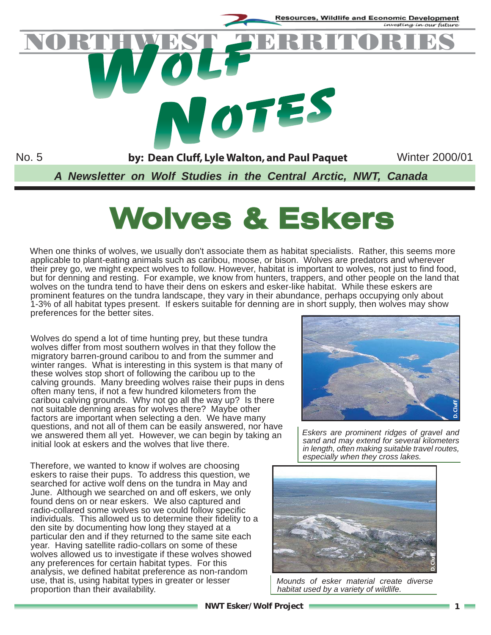

# **Wolves & Eskers**

When one thinks of wolves, we usually don't associate them as habitat specialists. Rather, this seems more applicable to plant-eating animals such as caribou, moose, or bison. Wolves are predators and wherever their prey go, we might expect wolves to follow. However, habitat is important to wolves, not just to find food, but for denning and resting. For example, we know from hunters, trappers, and other people on the land that wolves on the tundra tend to have their dens on eskers and esker-like habitat. While these eskers are prominent features on the tundra landscape, they vary in their abundance, perhaps occupying only about 1-3% of all habitat types present. If eskers suitable for denning are in short supply, then wolves may show preferences for the better sites.

Wolves do spend a lot of time hunting prey, but these tundra wolves differ from most southern wolves in that they follow the migratory barren-ground caribou to and from the summer and winter ranges. What is interesting in this system is that many of these wolves stop short of following the caribou up to the calving grounds. Many breeding wolves raise their pups in dens often many tens, if not a few hundred kilometers from the caribou calving grounds. Why not go all the way up? Is there not suitable denning areas for wolves there? Maybe other factors are important when selecting a den. We have many questions, and not all of them can be easily answered, nor have we answered them all yet. However, we can begin by taking an initial look at eskers and the wolves that live there.

Therefore, we wanted to know if wolves are choosing eskers to raise their pups. To address this question, we searched for active wolf dens on the tundra in May and June. Although we searched on and off eskers, we only found dens on or near eskers. We also captured and radio-collared some wolves so we could follow specific individuals. This allowed us to determine their fidelity to a den site by documenting how long they stayed at a particular den and if they returned to the same site each year. Having satellite radio-collars on some of these wolves allowed us to investigate if these wolves showed any preferences for certain habitat types. For this analysis, we defined habitat preference as non-random use, that is, using habitat types in greater or lesser proportion than their availability.



*Eskers are prominent ridges of gravel and sand and may extend for several kilometers in length, often making suitable travel routes, especially when they cross lakes.*



*Mounds of esker material create diverse habitat used by a variety of wildlife.*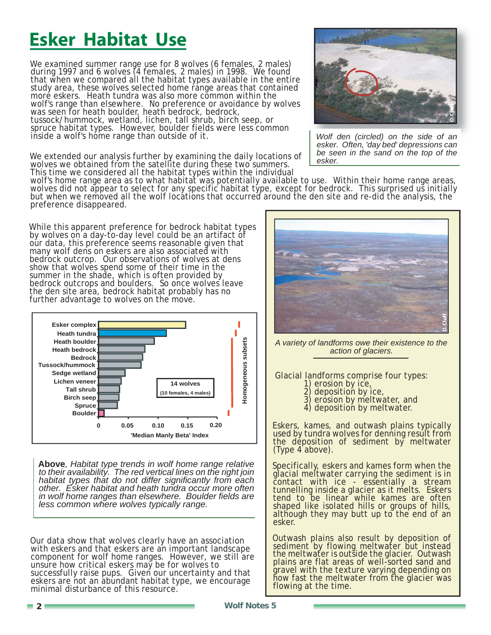# **Esker Habitat Use**

We examined summer range use for 8 wolves (6 females, 2 males) during 1997 and 6 wolves (4 females, 2 males) in 1998. We found that when we compared all the habitat types available in the entire study area, these wolves selected home range areas that contained moré eskers. Heath tundra was also more cŏmmon within the wolf's range than elsewhere. No preference or avoidance by wolves was seen for heath boulder, heath bedrock, bedrock, tussock/hummock, wetland, lichen, tall shrub, birch seep, or spruce habitat types. However, boulder fields were less common inside a wolf's home range than outside of it.

We extended our analysis further by examining the daily locations of wolves we obtained from the satellite during these two summers. This time we considered all the habitat types within the individual



*Wolf den (circled) on the side of an esker. Often, 'day bed' depressions can be seen in the sand on the top of the esker.*

wolf's home range area as to what habitat was potentially available to use. Within their home range areas, wolves did not appear to select for any specific habitat type, except for bedrock. This surprised us initially but when we removed all the wolf locations that occurred around the den site and re-did the analysis, the preference disappeared.

While this apparent preference for bedrock habitat types by wolves on a day-to-day level could be an artifact of our data, this preference seems reasonable given that many wolf dens on eskers are also associated with bedrock outcrop. Our observations of wolves at dens show that wolves spend some of their time in the summer in the shade, which is often provided by bedrock outcrops and boulders. So once wolves leave the den site area, bedrock habitat probably has no further advantage to wolves on the move.



**Above***, Habitat type trends in wolf home range relative to their availability. The red vertical lines on the right join habitat types that do not differ significantly from each other. Esker habitat and heath tundra occur more often in wolf home ranges than elsewhere. Boulder fields are less common where wolves typically range.*

Our data show that wolves clearly have an association with eskers and that eskers are an important landscape component for wolf home ranges. However, we still are unsure how critical eskers may be for wolves to successfully raise pups. Given our uncertainty and that eskers are not an abundant habitat type, we encourage minimal disturbance of this resource.



*A variety of landforms owe their existence to the action of glaciers.*

Glacial landforms comprise four types:

- 1) erosion by ice,<br>2) deposition by ice,
	-
- 3) erosion by meltwater, and
- 4) deposition by meltwater.

Eskers, kames, and outwash plains typically used by tundra wolves for denning result from the deposition of sediment by meltwater (Type 4 above).

Specifically, eskers and kames form when the glacial meltwater carrying the sediment is in contact with ice - essentially a stream tunnelling inside a glacier as it melts. Eskers tend to be linear while kames are often shaped like isolated hills or groups of hills, although they may butt up to the end of an esker.

Outwash plains also result by deposition of sediment by flowing meltwater but instead the meltwater is outside the glacier. Outwash plains are flat areas of well-sorted sand and gravel with the texture varying depending on how fast the meltwater from the glacier was flowing at the time.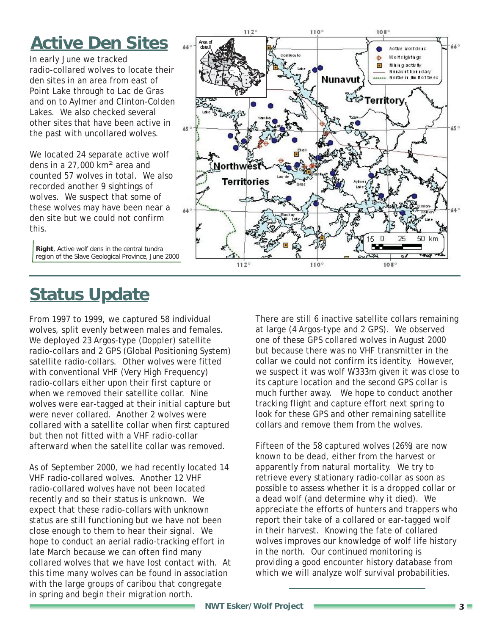# **Active Den Sites**

In early June we tracked radio-collared wolves to locate their den sites in an area from east of Point Lake through to Lac de Gras and on to Aylmer and Clinton-Colden Lakes. We also checked several other sites that have been active in the past with uncollared wolves.

We located 24 separate active wolf dens in a  $27,000$  km<sup>2</sup> area and counted 57 wolves in total. We also recorded another 9 sightings of wolves. We suspect that some of these wolves may have been near a den site but we could not confirm this.

**Right**, Active wolf dens in the central tundra region of the Slave Geological Province, June 2000



From 1997 to 1999, we captured 58 individual wolves, split evenly between males and females. We deployed 23 Argos-type (Doppler) satellite radio-collars and 2 GPS (Global Positioning System) satellite radio-collars. Other wolves were fitted with conventional VHF (Very High Frequency) radio-collars either upon their first capture or when we removed their satellite collar. Nine wolves were ear-tagged at their initial capture but were never collared. Another 2 wolves were collared with a satellite collar when first captured but then not fitted with a VHF radio-collar afterward when the satellite collar was removed.

As of September 2000, we had recently located 14 VHF radio-collared wolves. Another 12 VHF radio-collared wolves have not been located recently and so their status is unknown. We expect that these radio-collars with unknown status are still functioning but we have not been close enough to them to hear their signal. We hope to conduct an aerial radio-tracking effort in late March because we can often find many collared wolves that we have lost contact with. At this time many wolves can be found in association with the large groups of caribou that congregate in spring and begin their migration north.



There are still 6 inactive satellite collars remaining at large (4 Argos-type and 2 GPS). We observed one of these GPS collared wolves in August 2000 but because there was no VHF transmitter in the collar we could not confirm its identity. However, we suspect it was wolf W333m given it was close to its capture location and the second GPS collar is much further away. We hope to conduct another tracking flight and capture effort next spring to look for these GPS and other remaining satellite collars and remove them from the wolves.

Fifteen of the 58 captured wolves (26%) are now known to be dead, either from the harvest or apparently from natural mortality. We try to retrieve every stationary radio-collar as soon as possible to assess whether it is a dropped collar or a dead wolf (and determine why it died). We appreciate the efforts of hunters and trappers who report their take of a collared or ear-tagged wolf in their harvest. Knowing the fate of collared wolves improves our knowledge of wolf life history in the north. Our continued monitoring is providing a good encounter history database from which we will analyze wolf survival probabilities.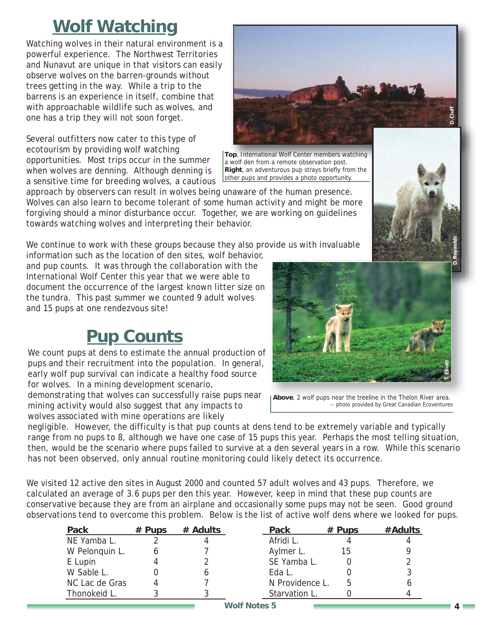## **Wolf Watching**

Watching wolves in their natural environment is a powerful experience. The Northwest Territories and Nunavut are unique in that visitors can easily observe wolves on the barren-grounds without trees getting in the way. While a trip to the barrens is an experience in itself, combine that with approachable wildlife such as wolves, and one has a trip they will not soon forget.

Several outfitters now cater to this type of ecotourism by providing wolf watching opportunities. Most trips occur in the summer when wolves are denning. Although denning is a sensitive time for breeding wolves, a cautious

approach by observers can result in wolves being unaware of the human presence. Wolves can also learn to become tolerant of some human activity and might be more forgiving should a minor disturbance occur. Together, we are working on guidelines towards watching wolves and interpreting their behavior.

We continue to work with these groups because they also provide us with invaluable

information such as the location of den sites, wolf behavior, and pup counts. It was through the collaboration with the International Wolf Center this year that we were able to document the occurrence of the largest known litter size on the tundra. This past summer we counted 9 adult wolves and 15 pups at one rendezvous site!

### **Pup Counts**

We count pups at dens to estimate the annual production of pups and their recruitment into the population. In general, early wolf pup survival can indicate a healthy food source for wolves. In a mining development scenario,

demonstrating that wolves can successfully raise pups near mining activity would also suggest that any impacts to wolves associated with mine operations are likely

negligible. However, the difficulty is that pup counts at dens tend to be extremely variable and typically range from no pups to 8, although we have one case of 15 pups this year. Perhaps the most telling situation, then, would be the scenario where pups failed to survive at a den several years in a row. While this scenario has not been observed, only annual routine monitoring could likely detect its occurrence.

We visited 12 active den sites in August 2000 and counted 57 adult wolves and 43 pups. Therefore, we calculated an average of 3.6 pups per den this year. However, keep in mind that these pup counts are conservative because they are from an airplane and occasionally some pups may not be seen. Good ground observations tend to overcome this problem. Below is the list of active wolf dens where we looked for pups.

| Pack           | $#$ Pups | # Adults | Pack            | $#$ Pups | #Adults |
|----------------|----------|----------|-----------------|----------|---------|
| NE Yamba L.    |          |          | Afridi L.       |          |         |
| W Pelonquin L. |          |          | Aylmer L.       | 15       |         |
| E Lupin        |          |          | SE Yamba L.     |          |         |
| W Sable L.     |          |          | Eda L.          |          |         |
| NC Lac de Gras |          |          | N Providence L. |          |         |
| Thonokeid L.   |          |          | Starvation L.   |          |         |



**Top**, International Wolf Center members watching a wolf den from a remote observation post. **Right**, an adventurous pup strays briefly from the other pups and provides a photo opportunity.



**Above**, 2 wolf pups near the treeline in the Thelon River area. -- photo provided by Great Canadian Ecoventures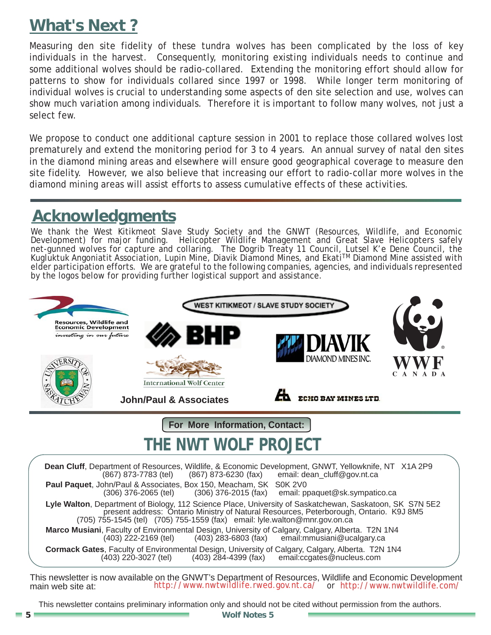### **What's Next ?**

Measuring den site fidelity of these tundra wolves has been complicated by the loss of key individuals in the harvest. Consequently, monitoring existing individuals needs to continue and some additional wolves should be radio-collared. Extending the monitoring effort should allow for patterns to show for individuals collared since 1997 or 1998. While longer term monitoring of individual wolves is crucial to understanding some aspects of den site selection and use, wolves can show much variation among individuals. Therefore it is important to follow many wolves, not just a select few.

We propose to conduct one additional capture session in 2001 to replace those collared wolves lost prematurely and extend the monitoring period for 3 to 4 years. An annual survey of natal den sites in the diamond mining areas and elsewhere will ensure good geographical coverage to measure den site fidelity. However, we also believe that increasing our effort to radio-collar more wolves in the diamond mining areas will assist efforts to assess cumulative effects of these activities.

### **Acknowledgments**

We thank the West Kitikmeot Slave Study Society and the GNWT (Resources, Wildlife, and Economic Development) for major funding. Helicopter Wildlife Management and Great Slave Helicopters safely net-gunned wolves for capture and collaring. The Dogrib Treaty 11 Council, Lutsel K'e Dene Council, the Kugluktuk Angoniatit Association, Lupin Mine, Diavik Diamond Mines, and Ekati™ Diamond Mine assisted with elder participation efforts. We are grateful to the following companies, agencies, and individuals represented by the logos below for providing further logistical support and assistance.



This newsletter is now available on the GNWT's Department of Resources, Wildlife and Economic Development main web site at: http://www.nwtwildlife.rwed.gov.nt.ca/ or http://www.nwtwildlife.com/ http://www.nwtwildlife.rwed.gov.nt.ca/ or http://www.nwtwildlife.com/

This newsletter contains preliminary information only and should not be cited without permission from the authors.